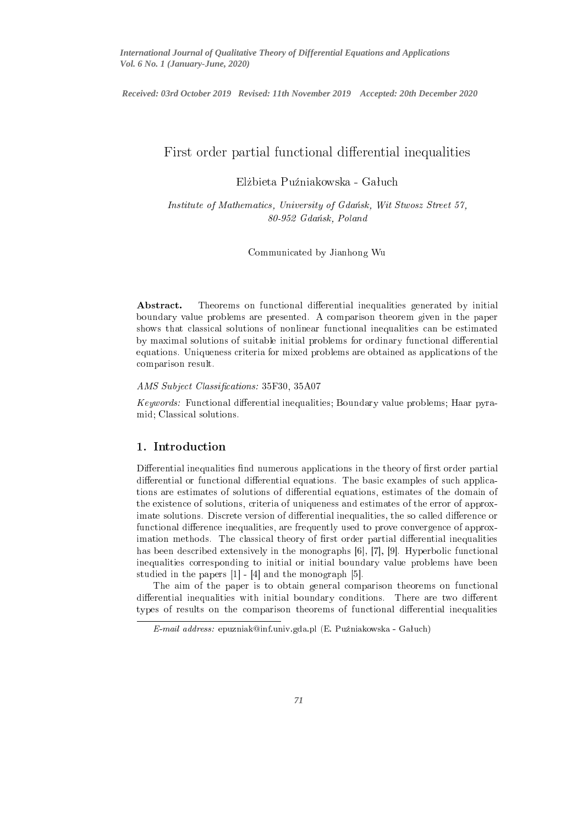*International Journal of Qualitative Theory of Differential Equations and Applications Vol. 6 No. 1 (January-June, 2020)*

International Journal of Qualitative Theory of Dierential Equations and Appli
ations *Received: 03rd October 2019 Revised: 11th November 2019 Accepted: 20th December 2020*

# First order partial functional differential inequalities

Elżbieta Puźniakowska - Gałuch

Institute of Mathematics, University of Gdańsk, Wit Stwosz Street 57,  $80-952$  Gdańsk, Poland

Communi
ated by Jianhong Wu

Abstract. Theorems on functional differential inequalities generated by initial boundary value problems are presented. A omparison theorem given in the paper shows that lassi
al solutions of nonlinear fun
tional inequalities an be estimated by maximal solutions of suitable initial problems for ordinary functional differential equations. Uniqueness criteria for mixed problems are obtained as applications of the omparison results and control to the control of the control of the control of the control of the control of th

## AMS Subject Classifications: 35F30, 35A07

Keywords: Functional differential inequalities; Boundary value problems; Haar pyramid; Classi
al solutions.

## 1. Introduction

Differential inequalities find numerous applications in the theory of first order partial differential or functional differential equations. The basic examples of such applications are estimates of solutions of dierential equations, estimates of the domain of the existen
e of solutions, riteria of uniqueness and estimates of the error of approximate solutions. Discrete version of differential inequalities, the so called difference or functional difference inequalities, are frequently used to prove convergence of approximation methods. The classical theory of first order partial differential inequalities has been described extensively in the monographs  $[6]$ ,  $[7]$ ,  $[9]$ . Hyperbolic functional inequalities orresponding to initial or initial boundary value problems have been studied in the papers  $[1] - [4]$  and the monograph  $[5]$ .

The aim of the paper is to obtain general omparison theorems on fun
tional differential inequalities with initial boundary conditions. There are two different types of results on the comparison theorems of functional differential inequalities

 $E$ -mail address: epuzniak@inf.univ.gda.pl (E. Puźniakowska - Gałuch)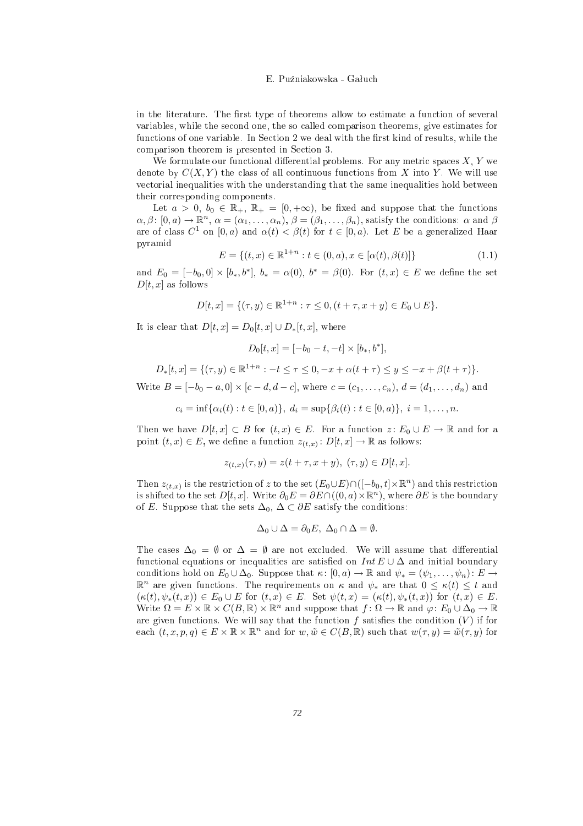in the literature. The first type of theorems allow to estimate a function of several variables, while the se
ond one, the so alled omparison theorems, give estimates for functions of one variable. In Section 2 we deal with the first kind of results, while the omparison theorem is presented in Se
tion 3.

We formulate our functional differential problems. For any metric spaces  $X, Y$  we denote by  $C(X, Y)$  the class of all continuous functions from X into Y. We will use vectorial inequalities with the understanding that the same inequalities hold between their orresponding omponents.

Let  $a > 0, b_0 \in \mathbb{R}_+, \mathbb{R}_+ = [0, +\infty)$ , be fixed and suppose that the functions  $\alpha,\beta\colon [0,a)\to\mathbb{R}^n, \ \alpha=(\alpha_1,\ldots,\alpha_n),\ \beta=(\beta_1,\ldots,\beta_n), \text{ satisfy the conditions: } \alpha \text{ and } \beta$ are of class  $C^1$  on  $[0, a)$  and  $\alpha(t) < \beta(t)$  for  $t \in [0, a)$ . Let E be a generalized Haar pyramid and the contract of the contract of the contract of the contract of the contract of the contract of the

$$
E = \{(t, x) \in \mathbb{R}^{1+n} : t \in (0, a), x \in [\alpha(t), \beta(t)]\}
$$
\n(1.1)

and  $E_0 = [-b_0, 0] \times [b_*, b^*], b_* = \alpha(0), b^* = \beta(0)$ . For  $(t, x) \in E$  we define the set  $D[t, x]$  as follows

$$
D[t, x] = \{ (\tau, y) \in \mathbb{R}^{1+n} : \tau \le 0, (t + \tau, x + y) \in E_0 \cup E \}.
$$

It is clear that  $D[t, x] = D_0[t, x] \cup D_*[t, x]$ , where

$$
D_0[t, x] = [-b_0 - t, -t] \times [b_*, b^*],
$$

$$
D_*[t, x] = \{(\tau, y) \in \mathbb{R}^{1+n} : -t \le \tau \le 0, -x + \alpha(t + \tau) \le y \le -x + \beta(t + \tau)\}.
$$

Write  $B = [-b_0 - a, 0] \times [c - d, d - c]$ , where  $c = (c_1, \ldots, c_n)$ ,  $d = (d_1, \ldots, d_n)$  and

$$
c_i = \inf \{ \alpha_i(t) : t \in [0, a) \}, d_i = \sup \{ \beta_i(t) : t \in [0, a) \}, i = 1, ..., n.
$$

Then we have  $D[t, x] \subset B$  for  $(t, x) \in E$ . For a function  $z: E_0 \cup E \to \mathbb{R}$  and for a point  $(t, x) \in E$ , we define a function  $z_{(t,x)} \colon D[t, x] \to \mathbb{R}$  as follows:

$$
z_{(t,x)}(\tau, y) = z(t + \tau, x + y), \ (\tau, y) \in D[t, x].
$$

Then  $z_{(t,x)}$  is the restriction of z to the set  $(E_0\cup E)\cap([-b_0,t]\times\mathbb{R}^n)$  and this restriction is shifted to the set  $D[t,x]$ . Write  $\partial_0 E = \partial E \cap ((0,a) \times \mathbb{R}^n)$ , where  $\partial E$  is the boundary of E. Suppose that the sets  $\Delta_0$ ,  $\Delta \subset \partial E$  satisfy the conditions:

$$
\Delta_0 \cup \Delta = \partial_0 E, \ \Delta_0 \cap \Delta = \emptyset.
$$

The cases  $\Delta_0 = \emptyset$  or  $\Delta = \emptyset$  are not excluded. We will assume that differential functional equations or inequalities are satisfied on  $Int E \cup \Delta$  and initial boundary conditions hold on  $E_0 \cup \Delta_0$ . Suppose that  $\kappa: [0, a) \to \mathbb{R}$  and  $\psi_* = (\psi_1, \dots, \psi_n): E \to$  $\mathbb{R}^n$  are given functions. The requirements on  $\kappa$  and  $\psi_*$  are that  $0 \leq \kappa(t) \leq t$  and  $(\kappa(t), \psi_*(t,x)) \in E_0 \cup E$  for  $(t,x) \in E$ . Set  $\psi(t,x) = (\kappa(t), \psi_*(t,x))$  for  $(t,x) \in E$ . Write  $\Omega = E \times \mathbb{R} \times C(B, \mathbb{R}) \times \mathbb{R}^n$  and suppose that  $f: \Omega \to \mathbb{R}$  and  $\varphi: E_0 \cup \Delta_0 \to \mathbb{R}$ are given functions. We will say that the function  $f$  satisfies the condition  $(V)$  if for each  $(t, x, p, q) \in E \times \mathbb{R} \times \mathbb{R}^n$  and for  $w, \tilde{w} \in C(B, \mathbb{R})$  such that  $w(\tau, y) = \tilde{w}(\tau, y)$  for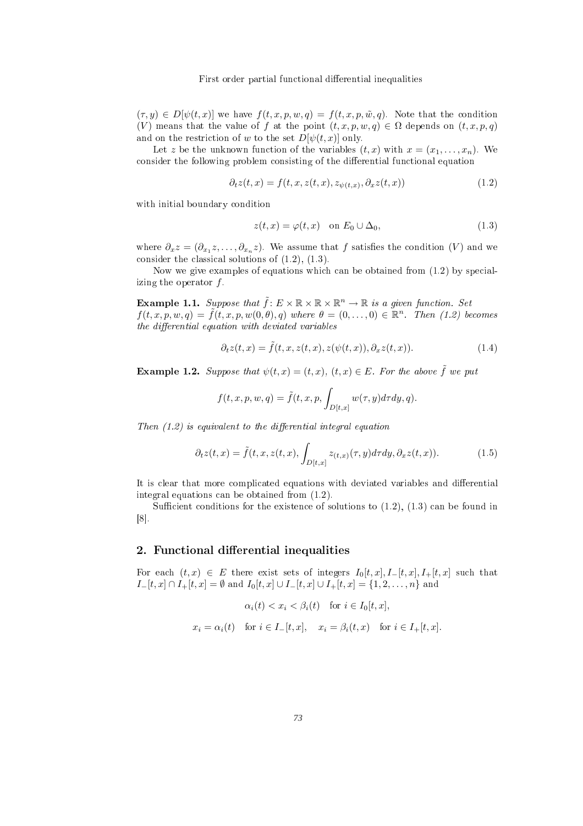$(\tau, y) \in D[\psi(t, x)]$  we have  $f(t, x, p, w, q) = f(t, x, p, \tilde{w}, q)$ . Note that the condition (V) means that the value of f at the point  $(t, x, p, w, q) \in \Omega$  depends on  $(t, x, p, q)$ and on the restriction of w to the set  $D[\psi(t,x)]$  only.

Let z be the unknown function of the variables  $(t, x)$  with  $x = (x_1, \ldots, x_n)$ . We consider the following problem consisting of the differential functional equation

$$
\partial_t z(t, x) = f(t, x, z(t, x), z_{\psi(t, x)}, \partial_x z(t, x)) \tag{1.2}
$$

with initial boundary condition

$$
z(t, x) = \varphi(t, x) \quad \text{on } E_0 \cup \Delta_0,\tag{1.3}
$$

where  $\partial_x z = (\partial_{x_1} z, \dots, \partial_{x_n} z)$ . We assume that f satisfies the condition  $(V)$  and we consider the classical solutions of  $(1.2)$ ,  $(1.3)$ .

Now we give examples of equations which can be obtained from  $(1.2)$  by specializing the operator  $f$ .

**Example 1.1.** Suppose that  $\tilde{f}: E \times \mathbb{R} \times \mathbb{R} \times \mathbb{R}^n \to \mathbb{R}$  is a given function. Set  $f(t,x,p,w,q) = \tilde{f}(t,x,p,w(0,\theta),q)$  where  $\theta = (0,\ldots,0) \in \mathbb{R}^n$ . Then (1.2) becomes  $the$  differential equation with deviated variables

$$
\partial_t z(t, x) = \tilde{f}(t, x, z(t, x), z(\psi(t, x)), \partial_x z(t, x)). \tag{1.4}
$$

**Example 1.2.** Suppose that  $\psi(t,x) = (t,x)$ ,  $(t,x) \in E$ . For the above  $\tilde{f}$  we put

$$
f(t, x, p, w, q) = \tilde{f}(t, x, p, \int_{D[t, x]} w(\tau, y) d\tau dy, q).
$$

Then  $(1,2)$  is equivalent to the differential integral equation

$$
\partial_t z(t,x) = \tilde{f}(t,x,z(t,x), \int_{D[t,x]} z_{(t,x)}(\tau,y) d\tau dy, \partial_x z(t,x)). \tag{1.5}
$$

It is clear that more complicated equations with deviated variables and differential integral equations an be obtained from (1.2).

Sufficient conditions for the existence of solutions to  $(1.2)$ ,  $(1.3)$  can be found in  $\mathcal{R}(\mathcal{R})$  . The contract of the contract of the contract of the contract of the contract of the contract of the contract of the contract of the contract of the contract of the contract of the contract of the contract

## 2. Functional differential inequalities

For each  $(t, x) \in E$  there exist sets of integers  $I_0[t, x], I_-[t, x], I_+[t, x]$  such that  $I_{-}[t,x] \cap I_{+}[t,x] = \emptyset$  and  $I_{0}[t,x] \cup I_{-}[t,x] \cup I_{+}[t,x] = \{1,2,\ldots,n\}$  and

$$
\alpha_i(t) < x_i < \beta_i(t) \quad \text{for } i \in I_0[t, x],
$$
\n
$$
x_i = \alpha_i(t) \quad \text{for } i \in I_-[t, x], \quad x_i = \beta_i(t, x) \quad \text{for } i \in I_+[t, x].
$$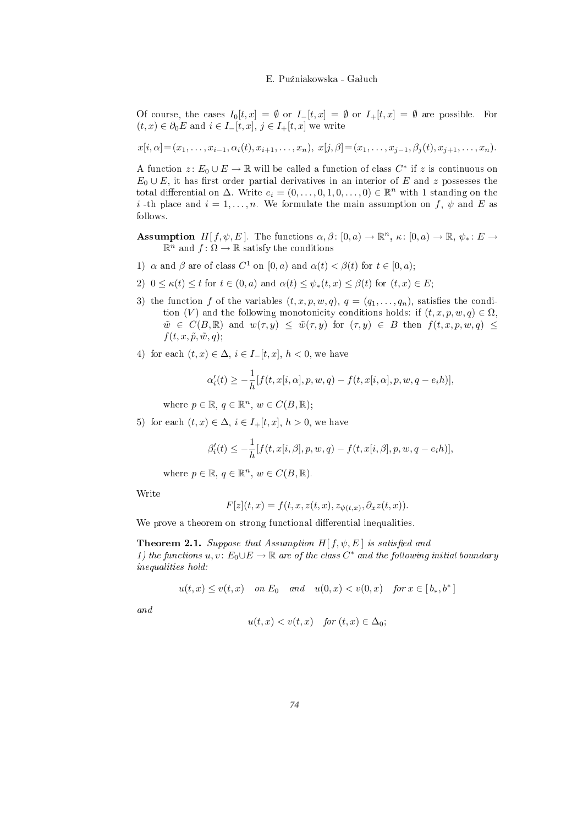Of course, the cases  $I_0[t, x] = \emptyset$  or  $I_0[t, x] = \emptyset$  or  $I_0[t, x] = \emptyset$  are possible. For  $(t, x) \in \partial_0 E$  and  $i \in I-[t, x], j \in I+[t, x]$  we write

$$
x[i,\alpha]=(x_1,\ldots,x_{i-1},\alpha_i(t),x_{i+1},\ldots,x_n), x[j,\beta]=(x_1,\ldots,x_{j-1},\beta_j(t),x_{j+1},\ldots,x_n).
$$

A function  $z\colon E_0\cup E\to\mathbb{R}$  will be called a function of class  $C^*$  if  $z$  is continuous on  $E_0 \cup E$ , it has first order partial derivatives in an interior of E and z possesses the total differential on  $\Delta$ . Write  $e_i = (0, \ldots, 0, 1, 0, \ldots, 0) \in \mathbb{R}^n$  with 1 standing on the i -th place and  $i = 1, \ldots, n$ . We formulate the main assumption on f,  $\psi$  and E as

- Assumption  $H[f, \psi, E]$ . The functions  $\alpha, \beta \colon [0, a) \to \mathbb{R}^n$ ,  $\kappa \colon [0, a) \to \mathbb{R}$ ,  $\psi_* \colon E \to$  $\mathbb{R}^n$  and  $f: \Omega \to \mathbb{R}$  satisfy the conditions
- 1)  $\alpha$  and  $\beta$  are of class  $C^1$  on  $[0, a)$  and  $\alpha(t) < \beta(t)$  for  $t \in [0, a)$ ;
- 2)  $0 \leq \kappa(t) \leq t$  for  $t \in (0, a)$  and  $\alpha(t) \leq \psi_*(t, x) \leq \beta(t)$  for  $(t, x) \in E$ ;
- 3) the function f of the variables  $(t, x, p, w, q)$ ,  $q = (q_1, \ldots, q_n)$ , satisfies the condition (V) and the following monotonicity conditions holds: if  $(t, x, p, w, q) \in \Omega$ ,  $\tilde{w} \in C(B,\mathbb{R})$  and  $w(\tau,y) \leq \tilde{w}(\tau,y)$  for  $(\tau,y) \in B$  then  $f(t,x,p,w,q) \leq$  $f(t, x, \tilde{p}, \tilde{w}, q);$
- 4) for each  $(t, x) \in \Delta$ ,  $i \in I-[t, x]$ ,  $h < 0$ , we have

$$
\alpha'_i(t) \geq -\frac{1}{h}[f(t, x[i, \alpha], p, w, q) - f(t, x[i, \alpha], p, w, q - e_i h)],
$$

where  $p \in \mathbb{R}, q \in \mathbb{R}^n, w \in C(B, \mathbb{R});$ 

5) for each  $(t, x) \in \Delta$ ,  $i \in I_+[t, x]$ ,  $h > 0$ , we have

$$
\beta_i'(t) \le -\frac{1}{h} [f(t, x[i, \beta], p, w, q) - f(t, x[i, \beta], p, w, q - e_i h)],
$$

where  $p \in \mathbb{R}, q \in \mathbb{R}^n, w \in C(B, \mathbb{R})$ .

$$
F[z](t,x) = f(t,x,z(t,x),z_{\psi(t,x)},\partial_x z(t,x)).
$$

We prove a theorem on strong functional differential inequalities.

**Theorem 2.1.** Suppose that Assumption H[  $f, \psi, E$ ] is satisfied and 1) the functions  $u, v \colon E_0 \cup E \to \mathbb{R}$  are of the class  $C^*$  and the following initial boundary inequalities hold:

 $u(t,x) \le v(t,x)$  on  $E_0$  and  $u(0,x) < v(0,x)$  for  $x \in [b_*,b^*]$ 

$$
u(t,x) < v(t,x) \quad \text{for } (t,x) \in \Delta_0;
$$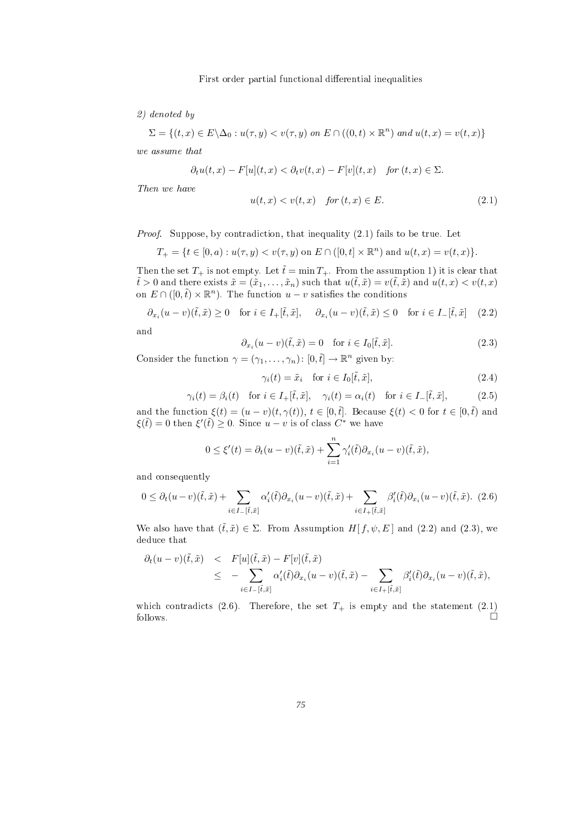2) denoted by

$$
\Sigma = \{(t, x) \in E \setminus \Delta_0 : u(\tau, y) < v(\tau, y) \text{ on } E \cap ((0, t) \times \mathbb{R}^n) \text{ and } u(t, x) = v(t, x)\}
$$

$$
\partial_t u(t,x) - F[u](t,x) < \partial_t v(t,x) - F[v](t,x) \quad \text{for } (t,x) \in \Sigma.
$$

$$
u(t,x) < v(t,x) \quad \text{for } (t,x) \in E. \tag{2.1}
$$

*Proof.* Suppose, by contradiction, that inequality  $(2.1)$  fails to be true. Let

$$
T_{+} = \{ t \in [0, a) : u(\tau, y) < v(\tau, y) \text{ on } E \cap ([0, t] \times \mathbb{R}^{n}) \text{ and } u(t, x) = v(t, x) \}.
$$

Then the set  $T_+$  is not empty. Let  $\tilde{t} = \min T_+$ . From the assumption 1) it is clear that  $t > 0$  and there exists  $\tilde{x} = (\tilde{x}_1, \ldots, \tilde{x}_n)$  such that  $u(\tilde{t}, \tilde{x}) = v(\tilde{t}, \tilde{x})$  and  $u(t, x) < v(t, x)$ on  $E \cap ([0, \tilde{t}) \times \mathbb{R}^n)$ . The function  $u - v$  satisfies the conditions

$$
\partial_{x_i}(u-v)(\tilde{t},\tilde{x}) \ge 0 \quad \text{for } i \in I_+[\tilde{t},\tilde{x}], \quad \partial_{x_i}(u-v)(\tilde{t},\tilde{x}) \le 0 \quad \text{for } i \in I_-[\tilde{t},\tilde{x}] \tag{2.2}
$$

$$
\partial_{x_i}(u-v)(\tilde{t},\tilde{x}) = 0 \quad \text{for } i \in I_0[\tilde{t},\tilde{x}]. \tag{2.3}
$$

Consider the function  $\gamma = (\gamma_1, \ldots, \gamma_n) : [0, \tilde{t}] \to \mathbb{R}^n$  given by: given by: the contract of the contract of the contract of the contract of the contract of the contract of the c

$$
\gamma_i(t) = \tilde{x}_i \quad \text{for } i \in I_0[\tilde{t}, \tilde{x}], \tag{2.4}
$$

$$
\gamma_i(t) = \beta_i(t) \quad \text{for } i \in I_+[\tilde{t}, \tilde{x}], \quad \gamma_i(t) = \alpha_i(t) \quad \text{for } i \in I_-[\tilde{t}, \tilde{x}], \tag{2.5}
$$

and the function  $\xi(t) = (u - v)(t, \gamma(t)), t \in [0, \tilde{t}]$ . Because  $\xi(t) < 0$  for  $t \in [0, \tilde{t})$  and  $\xi(\tilde{t}) = 0$  then  $\xi'(\tilde{t}) \geq 0$ . Since  $u - v$  is of class  $C^*$  we have

$$
0 \leq \xi'(t) = \partial_t(u-v)(\tilde{t},\tilde{x}) + \sum_{i=1}^n \gamma'_i(\tilde{t})\partial_{x_i}(u-v)(\tilde{t},\tilde{x}),
$$

and onsequently

$$
0 \leq \partial_t (u-v)(\tilde{t}, \tilde{x}) + \sum_{i \in I_-[\tilde{t}, \tilde{x}]} \alpha'_i(\tilde{t}) \partial_{x_i}(u-v)(\tilde{t}, \tilde{x}) + \sum_{i \in I_+[\tilde{t}, \tilde{x}]} \beta'_i(\tilde{t}) \partial_{x_i}(u-v)(\tilde{t}, \tilde{x}). \tag{2.6}
$$

We also have that  $(\tilde{t}, \tilde{x}) \in \Sigma$ . From Assumption  $H[f, \psi, E]$  and (2.2) and (2.3), we deduce that

$$
\partial_t (u-v)(\tilde{t},\tilde{x}) \leq F[u](\tilde{t},\tilde{x}) - F[v](\tilde{t},\tilde{x}) \leq - \sum_{i \in I_-[\tilde{t},\tilde{x}]} \alpha'_i(\tilde{t}) \partial_{x_i}(u-v)(\tilde{t},\tilde{x}) - \sum_{i \in I_+[\tilde{t},\tilde{x}]} \beta'_i(\tilde{t}) \partial_{x_i}(u-v)(\tilde{t},\tilde{x}),
$$

which contradicts (2.6). Therefore, the set  $T_+$  is empty and the statement (2.1)  $\overrightarrow{r}$  follows.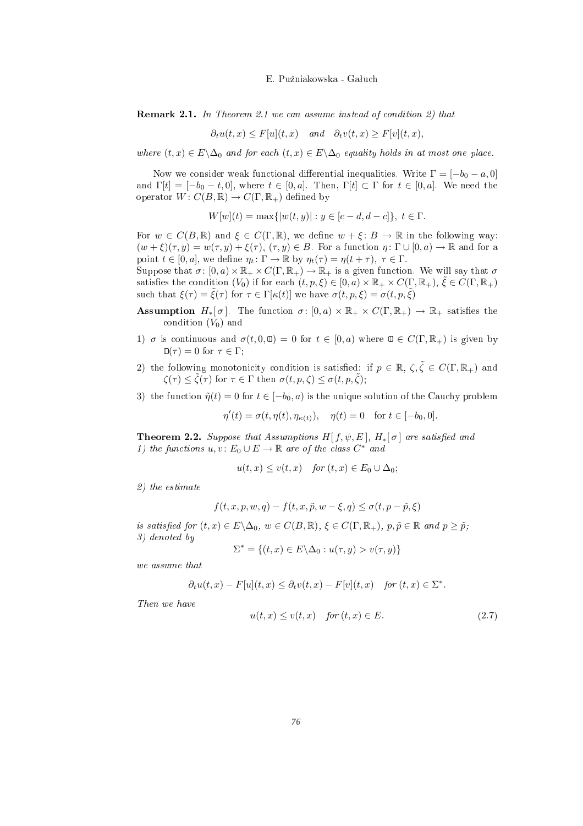**Remark 2.1.** In Theorem 2.1 we can assume instead of condition 2) that

$$
\partial_t u(t, x) \leq F[u](t, x)
$$
 and  $\partial_t v(t, x) \geq F[v](t, x)$ ,

where  $(t, x) \in E \setminus \Delta_0$  and for each  $(t, x) \in E \setminus \Delta_0$  equality holds in at most one place.

Now we consider weak functional differential inequalities. Write  $\Gamma = [-b_0 - a, 0]$ and  $\Gamma[t] = [-b_0 - t, 0]$ , where  $t \in [0, a]$ . Then,  $\Gamma[t] \subset \Gamma$  for  $t \in [0, a]$ . We need the operator  $W: C(B, \mathbb{R}) \to C(\Gamma, \mathbb{R}_{+})$  defined by

 $W[w](t) = \max\{|w(t,y)| : y \in [c-d, d-c]\}, t \in \Gamma.$ 

For  $w \in C(B,\mathbb{R})$  and  $\xi \in C(\Gamma,\mathbb{R})$ , we define  $w + \xi : B \to \mathbb{R}$  in the following way:  $(w+\xi)(\tau,y)=w(\tau,y)+\xi(\tau), (\tau,y)\in B$ . For a function  $\eta\colon \Gamma\cup [0,a)\to \mathbb{R}$  and for a point  $t \in [0, a]$ , we define  $\eta_t : \Gamma \to \mathbb{R}$  by  $\eta_t(\tau) = \eta(t + \tau)$ ,  $\tau \in \Gamma$ .

Suppose that  $\sigma: [0, a) \times \mathbb{R}_+ \times C(\Gamma, \mathbb{R}_+) \to \mathbb{R}_+$  is a given function. We will say that  $\sigma$ satisfies the condition  $(V_0)$  if for each  $(t, p, \xi) \in [0, a) \times \mathbb{R}_+ \times C(\Gamma, \mathbb{R}_+)$ ,  $\tilde{\xi} \in C(\Gamma, \mathbb{R}_+)$ such that  $\xi(\tau) = \tilde{\xi}(\tau)$  for  $\tau \in \Gamma[\kappa(t)]$  we have  $\sigma(t, p, \xi) = \sigma(t, p, \tilde{\xi})$ 

- **Assumption**  $H_*[\sigma]$ . The function  $\sigma: [0, a) \times \mathbb{R}_+ \times C(\Gamma, \mathbb{R}_+) \to \mathbb{R}_+$  satisfies the  $\text{condition } (V_0)$  and
- 1)  $\sigma$  is continuous and  $\sigma(t, 0, \mathbf{0}) = 0$  for  $t \in [0, a)$  where  $\mathbf{0} \in C(\Gamma, \mathbb{R}_{+})$  is given by  $\mathbb{O}(\tau) = 0$  for  $\tau \in \Gamma$ ;
- 2) the following monotonicity condition is satisfied: if  $p \in \mathbb{R}$ ,  $\zeta, \tilde{\zeta} \in C(\Gamma, \mathbb{R}_+)$  and  $\zeta(\tau) \leq \tilde{\zeta}(\tau)$  for  $\tau \in \Gamma$  then  $\sigma(t,p,\zeta) \leq \sigma(t,p,\zeta);$
- 3) the function  $\tilde{\eta}(t) = 0$  for  $t \in [-b_0, a)$  is the unique solution of the Cauchy problem

$$
\eta'(t) = \sigma(t, \eta(t), \eta_{\kappa(t)}), \quad \eta(t) = 0 \quad \text{for } t \in [-b_0, 0].
$$

**Theorem 2.2.** Suppose that Assumptions  $H[f, \psi, E], H_*[\sigma]$  are satisfied and 1) the functions  $u, v \colon E_0 \cup E \to \mathbb{R}$  are of the class  $C^*$  and

$$
u(t,x) \le v(t,x) \quad \text{for } (t,x) \in E_0 \cup \Delta_0;
$$

 $\alpha$  , the estimate  $\alpha$ 

$$
f(t, x, p, w, q) - f(t, x, \tilde{p}, w - \xi, q) \le \sigma(t, p - \tilde{p}, \xi)
$$

is satisfied for  $(t,x) \in E \setminus \Delta_0$ ,  $w \in C(B, \mathbb{R})$ ,  $\xi \in C(\Gamma, \mathbb{R}_+)$ ,  $p, \tilde{p} \in \mathbb{R}$  and  $p \geq \tilde{p}$ ;  $\overline{3}$  denoted by denoted by denoted by denoted by denoted by denoted by denoted by denoted by denoted by denoted by denoted by denoted by denoted by denoted by denoted by denoted by denoted by denoted by denoted by den

$$
\Sigma^* = \{(t, x) \in E \backslash \Delta_0 : u(\tau, y) > v(\tau, y)\}
$$

$$
\partial_t u(t,x) - F[u](t,x) \leq \partial_t v(t,x) - F[v](t,x) \quad \text{for } (t,x) \in \Sigma^*.
$$

$$
u(t,x) \le v(t,x) \quad \text{for } (t,x) \in E. \tag{2.7}
$$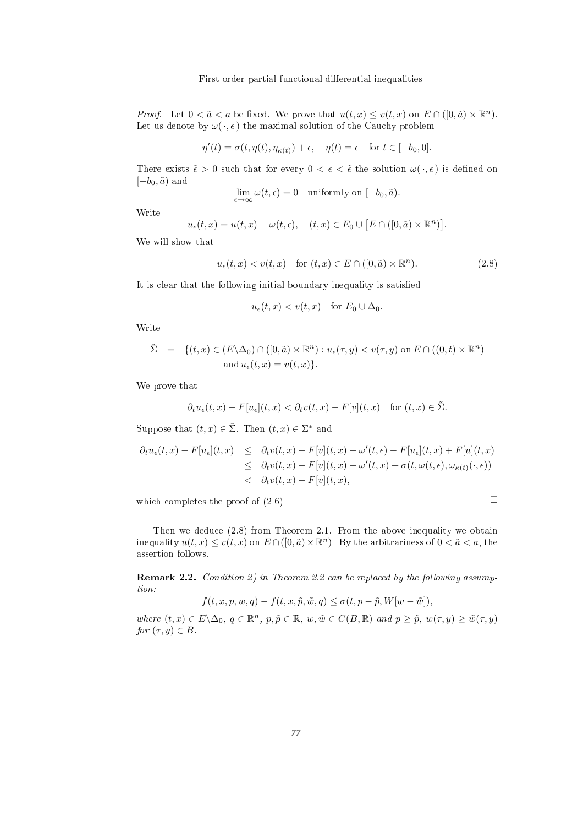*Proof.* Let  $0 < \tilde{a} < a$  be fixed. We prove that  $u(t,x) \leq v(t,x)$  on  $E \cap ([0,\tilde{a}) \times \mathbb{R}^n)$ .  $\binom{n}{k}$ Let us denote by  $\omega(\cdot, \epsilon)$  the maximal solution of the Cauchy problem

$$
\eta'(t) = \sigma(t, \eta(t), \eta_{\kappa(t)}) + \epsilon, \quad \eta(t) = \epsilon \quad \text{for } t \in [-b_0, 0].
$$

There exists  $\tilde{\epsilon} > 0$  such that for every  $0 < \epsilon < \tilde{\epsilon}$  the solution  $\omega(\cdot, \epsilon)$  is defined on  $[-b_0, \tilde{a})$  and  $\qquad \qquad$ 

$$
\lim_{\epsilon \to \infty} \omega(t, \epsilon) = 0 \quad \text{uniformly on } [-b_0, \tilde{a}).
$$

$$
u_{\epsilon}(t,x) = u(t,x) - \omega(t,\epsilon), \quad (t,x) \in E_0 \cup [E \cap ([0,\tilde{a}) \times \mathbb{R}^n)].
$$

$$
u_{\epsilon}(t,x) < v(t,x) \quad \text{for } (t,x) \in E \cap ([0,\tilde{a}) \times \mathbb{R}^n). \tag{2.8}
$$

It is clear that the following initial boundary inequality is satisfied

$$
u_{\epsilon}(t,x) < v(t,x) \quad \text{for } E_0 \cup \Delta_0.
$$

$$
\tilde{\Sigma} = \{ (t, x) \in (E \setminus \Delta_0) \cap ([0, \tilde{a}) \times \mathbb{R}^n) : u_{\epsilon}(\tau, y) < v(\tau, y) \text{ on } E \cap ((0, t) \times \mathbb{R}^n) \text{ and } u_{\epsilon}(t, x) = v(t, x) \}.
$$

We prove that

$$
\partial_t u_{\epsilon}(t,x) - F[u_{\epsilon}](t,x) < \partial_t v(t,x) - F[v](t,x) \quad \text{for } (t,x) \in \tilde{\Sigma}.
$$

Suppose that  $(t, x) \in \tilde{\Sigma}$ . Then  $(t, x) \in \Sigma^*$  and

$$
\partial_t u_{\epsilon}(t,x) - F[u_{\epsilon}](t,x) \leq \partial_t v(t,x) - F[v](t,x) - \omega'(t,\epsilon) - F[u_{\epsilon}](t,x) + F[u](t,x)
$$
  

$$
\leq \partial_t v(t,x) - F[v](t,x) - \omega'(t,x) + \sigma(t,\omega(t,\epsilon),\omega_{\kappa(t)}(\cdot,\epsilon))
$$
  

$$
< \partial_t v(t,x) - F[v](t,x),
$$

which completes the proof of  $(2.6)$ .

Then we dedu
e (2.8) from Theorem 2.1. From the above inequality we obtain inequality  $u(t,x) \le v(t,x)$  on  $E \cap ([0, \tilde{a}) \times \mathbb{R}^n)$ . By the arbitrariness of  $0 < \tilde{a} < a$ , the assertion follows.

**Remark 2.2.** Condition 2) in Theorem 2.2 can be replaced by the following assump-

$$
f(t, x, p, w, q) - f(t, x, \tilde{p}, \tilde{w}, q) \le \sigma(t, p - \tilde{p}, W[w - \tilde{w}]),
$$

where  $(t, x) \in E \setminus \Delta_0$ ,  $q \in \mathbb{R}^n$ ,  $p, \tilde{p} \in \mathbb{R}$ ,  $w, \tilde{w} \in C(B, \mathbb{R})$  and  $p \geq \tilde{p}$ ,  $w(\tau, y) \geq \tilde{w}(\tau, y)$ for  $(\tau, y) \in B$ .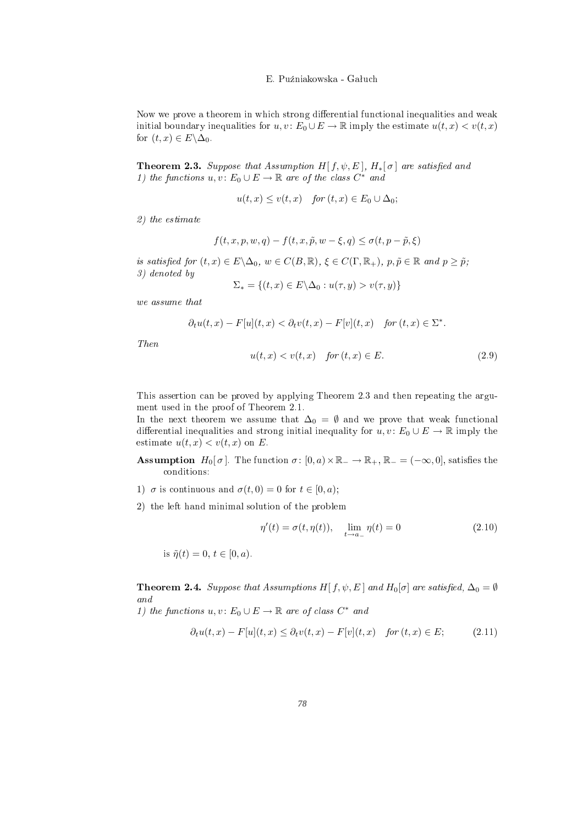Now we prove a theorem in which strong differential functional inequalities and weak initial boundary inequalities for  $u, v \colon E_0 \cup E \to \mathbb{R}$  imply the estimate  $u(t, x) < v(t, x)$ for  $(t, x) \in E \backslash \Delta_0$ .

**Theorem 2.3.** Suppose that Assumption H[ $f, \psi, E$ ],  $H_*[\sigma]$  are satisfied and 1) the functions  $u, v \colon E_0 \cup E \to \mathbb{R}$  are of the class  $C^*$  and

$$
u(t,x) \le v(t,x) \quad \text{for } (t,x) \in E_0 \cup \Delta_0;
$$

2) the estimate

$$
f(t, x, p, w, q) - f(t, x, \tilde{p}, w - \xi, q) \le \sigma(t, p - \tilde{p}, \xi)
$$

is satisfied for  $(t, x) \in E \setminus \Delta_0$ ,  $w \in C(B, \mathbb{R})$ ,  $\xi \in C(\Gamma, \mathbb{R}_+)$ ,  $p, \tilde{p} \in \mathbb{R}$  and  $p \geq \tilde{p}$ ;<br>3) denoted by

$$
\Sigma_* = \{(t, x) \in E \setminus \Delta_0 : u(\tau, y) > v(\tau, y)\}
$$

we assume that

$$
\partial_t u(t,x) - F[u](t,x) < \partial_t v(t,x) - F[v](t,x) \quad \text{for } (t,x) \in \Sigma^*.
$$

$$
u(t,x) < v(t,x) \quad \text{for } (t,x) \in E. \tag{2.9}
$$

3) denoted by

This assertion an be proved by applying Theorem 2.3 and then repeating the argument used in the proof of Theorem 2.1.

In the next theorem we assume that  $\Delta_0 = \emptyset$  and we prove that weak functional differential inequalities and strong initial inequality for  $u, v \colon E_0 \cup E \to \mathbb{R}$  imply the estimate  $u(t, x) < v(t, x)$  on E.

- **Assumption**  $H_0[\sigma]$ . The function  $\sigma: [0, a) \times \mathbb{R}_+ \to \mathbb{R}_+$ ,  $\mathbb{R}_- = (-\infty, 0]$ , satisfies the onditions:
- 1)  $\sigma$  is continuous and  $\sigma(t, 0) = 0$  for  $t \in [0, a)$ ;
- 2) the left hand minimal solution of the problem

$$
\eta'(t) = \sigma(t, \eta(t)), \quad \lim_{t \to a_{-}} \eta(t) = 0 \tag{2.10}
$$

is 
$$
\tilde{\eta}(t) = 0, t \in [0, a).
$$

**Theorem 2.4.** Suppose that Assumptions H[ $f, \psi, E$ ] and H<sub>0</sub>[ $\sigma$ ] are satisfied,  $\Delta_0 = \emptyset$ 

1) the functions  $u, v \colon E_0 \cup E \to \mathbb{R}$  are of class  $C^*$  and

$$
\partial_t u(t, x) - F[u](t, x) \le \partial_t v(t, x) - F[v](t, x) \quad \text{for } (t, x) \in E; \tag{2.11}
$$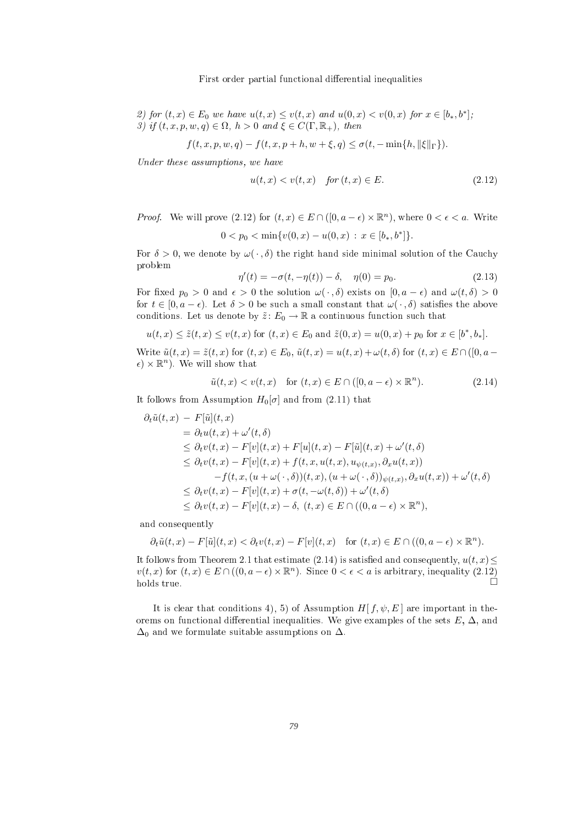2) for  $(t, x) \in E_0$  we have  $u(t, x) \le v(t, x)$  and  $u(0, x) < v(0, x)$  for  $x \in [b_*, b^*]$ ;  $\vert$ ; 3) if  $(t, x, p, w, q) \in \Omega$ ,  $h > 0$  and  $\xi \in C(\Gamma, \mathbb{R}_+)$ , then

$$
f(t, x, p, w, q) - f(t, x, p + h, w + \xi, q) \le \sigma(t, -\min\{h, \|\xi\|_{\Gamma}\}).
$$

Under these assumptions, we have

$$
u(t,x) < v(t,x) \quad \text{for } (t,x) \in E. \tag{2.12}
$$

*Proof.* We will prove  $(2.12)$  for  $(t, x) \in E \cap ([0, a - \epsilon) \times \mathbb{R}^n)$ , where  $0 < \epsilon < a$ . Write

$$
0 < p_0 < \min\{v(0, x) - u(0, x) \, : \, x \in [b_*, b^*] \}.
$$

For  $\delta > 0$ , we denote by  $\omega(\cdot, \delta)$  the right hand side minimal solution of the Cauchy problem and the contract of the contract of the contract of the contract of the contract of the contract of the

$$
\eta'(t) = -\sigma(t, -\eta(t)) - \delta, \quad \eta(0) = p_0.
$$
\n(2.13)

For fixed  $p_0 > 0$  and  $\epsilon > 0$  the solution  $\omega(\cdot, \delta)$  exists on  $[0, a - \epsilon)$  and  $\omega(t, \delta) > 0$ for  $t \in [0, a - \epsilon)$ . Let  $\delta > 0$  be such a small constant that  $\omega(\cdot, \delta)$  satisfies the above conditions. Let us denote by  $\tilde{z}$ :  $E_0 \to \mathbb{R}$  a continuous function such that

$$
u(t, x) \leq \tilde{z}(t, x) \leq v(t, x)
$$
 for  $(t, x) \in E_0$  and  $\tilde{z}(0, x) = u(0, x) + p_0$  for  $x \in [b^*, b_*]$ .

Write  $\tilde{u}(t,x) = \tilde{z}(t,x)$  for  $(t,x) \in E_0$ ,  $\tilde{u}(t,x) = u(t,x) + \omega(t,\delta)$  for  $(t,x) \in E \cap ([0, a - \delta])$  $\epsilon) \times \mathbb{R}^n$ . We will show that

$$
\tilde{u}(t,x) < v(t,x) \quad \text{for } (t,x) \in E \cap ([0, a - \epsilon) \times \mathbb{R}^n). \tag{2.14}
$$

It follows from Assumption  $H_0[\sigma]$  and from (2.11) that

$$
\partial_t \tilde{u}(t,x) - F[\tilde{u}](t,x)
$$
\n
$$
= \partial_t u(t,x) + \omega'(t,\delta)
$$
\n
$$
\leq \partial_t v(t,x) - F[v](t,x) + F[u](t,x) - F[\tilde{u}](t,x) + \omega'(t,\delta)
$$
\n
$$
\leq \partial_t v(t,x) - F[v](t,x) + f(t,x,u(t,x),u_{\psi(t,x)},\partial_x u(t,x))
$$
\n
$$
-f(t,x,(u+\omega(\cdot,\delta))(t,x),(u+\omega(\cdot,\delta))_{\psi(t,x)},\partial_x u(t,x)) + \omega'(t,\delta)
$$
\n
$$
\leq \partial_t v(t,x) - F[v](t,x) + \sigma(t,-\omega(t,\delta)) + \omega'(t,\delta)
$$
\n
$$
\leq \partial_t v(t,x) - F[v](t,x) - \delta, (t,x) \in E \cap ((0,a-\epsilon) \times \mathbb{R}^n),
$$

and onsequently

$$
\partial_t \tilde{u}(t,x) - F[\tilde{u}](t,x) < \partial_t v(t,x) - F[v](t,x) \quad \text{for } (t,x) \in E \cap ((0,a-\epsilon) \times \mathbb{R}^n).
$$

It follows from Theorem 2.1 that estimate (2.14) is satisfied and consequently,  $u(t, x) \leq$  $v(t,x)$  for  $(t,x) \in E \cap ((0,a-\epsilon) \times \mathbb{R}^n)$ . Since  $0 < \epsilon < a$  is arbitrary, inequality  $(2.12)$  $holds$  true.

It is clear that conditions 4), 5) of Assumption  $H[f, \psi, E]$  are important in theorems on functional differential inequalities. We give examples of the sets  $E, \Delta$ , and  $\Delta_0$  and we formulate suitable assumptions on  $\Delta$ .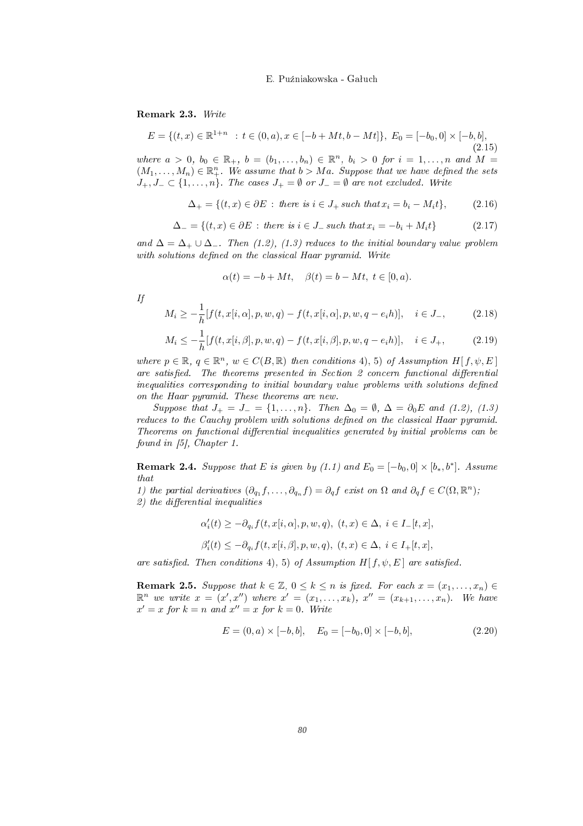Remark 2.3. Write

$$
E = \{(t, x) \in \mathbb{R}^{1+n} : t \in (0, a), x \in [-b + Mt, b - Mt]\}, E_0 = [-b_0, 0] \times [-b, b],
$$
\n(2.15)

where  $a > 0, b_0 \in \mathbb{R}_+$ ,  $b = (b_1, \ldots, b_n) \in \mathbb{R}^n$ ,  $b_i > 0$  for  $i = 1, \ldots, n$  and  $M =$  $(M_1,\ldots,M_n)\in\mathbb{R}^n_+$ . We assume that  $b>Ma$ . Suppose that we have defined the sets  $J_+, J_- \subset \{1, \ldots, n\}$ . The cases  $J_+ = \emptyset$  or  $J_- = \emptyset$  are not excluded. Write

$$
\Delta_{+} = \{(t, x) \in \partial E : \text{ there is } i \in J_+ \text{ such that } x_i = b_i - M_i t\},\tag{2.16}
$$

$$
\Delta_{-} = \{(t, x) \in \partial E : \text{ there is } i \in J_- \text{ such that } x_i = -b_i + M_i t\}
$$
\n
$$
(2.17)
$$

and  $\Delta = \Delta_+ \cup \Delta_-$ . Then (1.2), (1.3) reduces to the initial boundary value problem with solutions defined on the classical Haar pyramid. Write

$$
\alpha(t) = -b + Mt, \quad \beta(t) = b - Mt, \ t \in [0, a).
$$

in the contract of the contract of the contract of the contract of the contract of the contract of the contract of the contract of the contract of the contract of the contract of the contract of the contract of the contrac

$$
M_i \ge -\frac{1}{h}[f(t, x[i, \alpha], p, w, q) - f(t, x[i, \alpha], p, w, q - e_i h)], \quad i \in J_-,
$$
 (2.18)

$$
M_i \le -\frac{1}{h}[f(t, x[i, \beta], p, w, q) - f(t, x[i, \beta], p, w, q - e_i h)], \quad i \in J_+,
$$
 (2.19)

where  $p \in \mathbb{R}, q \in \mathbb{R}^n$ ,  $w \in C(B, \mathbb{R})$  then conditions 4, 5) of Assumption  $H[f, \psi, E]$ are satisfied. The theorems presented in Section 2 concern functional differential inequalities corresponding to initial boundary value problems with solutions defined on the Haar pyramid. These theorems are new.

Suppose that  $J_+ = J_- = \{1, \ldots, n\}$ . Then  $\Delta_0 = \emptyset$ ,  $\Delta = \partial_0 E$  and (1.2), (1.3) reduces to the Cauchy problem with solutions defined on the classical Haar pyramid. Theorems on functional differential inequalities generated by initial problems can be found in  $[5]$ , Chapter 1.

**Remark 2.4.** Suppose that E is given by (1.1) and  $E_0 = [-b_0, 0] \times [b_*, b^*]$ . Assume ]. Assume

1) the partial derivatives  $(\partial_{q_1} f, \ldots, \partial_{q_n} f) = \partial_q f$  exist on  $\Omega$  and  $\partial_q f \in C(\Omega, \mathbb{R}^n)$ ;  $\binom{n}{i}$ ;  $2)$  the differential inequalities

$$
\begin{array}{l} \alpha_i'(t)\geq -\partial_{q_i}f(t,x[i,\alpha],p,w,q),\ (t,x)\in \Delta,\ i\in I_-[t,x],\\[0.2cm] \beta_i'(t)\leq -\partial_{q_i}f(t,x[i,\beta],p,w,q),\ (t,x)\in \Delta,\ i\in I_+[t,x], \end{array}
$$

are satisfied. Then conditions 4), 5) of Assumption  $H[f, \psi, E]$  are satisfied.

**Remark 2.5.** Suppose that  $k \in \mathbb{Z}$ ,  $0 \leq k \leq n$  is fixed. For each  $x = (x_1, \ldots, x_n) \in$  $\mathbb{R}^n$  we write  $x = (x', x'')$  where  $x' = (x_1, \ldots, x_k)$ ,  $x'' = (x_{k+1}, \ldots, x_n)$ . We have  $x' = x$  for  $k = n$  and  $x'' = x$  for  $k = 0$ . Write

$$
E = (0, a) \times [-b, b], \quad E_0 = [-b_0, 0] \times [-b, b], \tag{2.20}
$$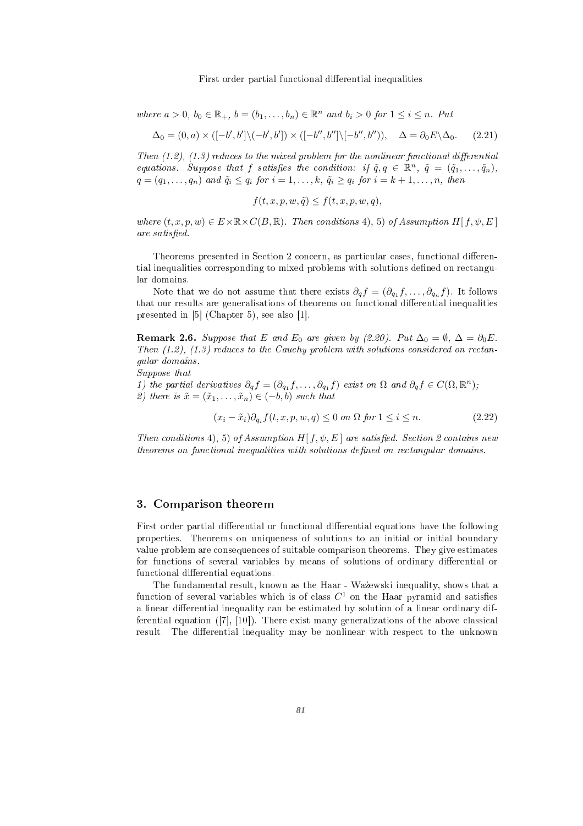where  $a > 0$ ,  $b_0 \in \mathbb{R}_+$ ,  $b = (b_1, \ldots, b_n) \in \mathbb{R}^n$  and  $b_i > 0$  for  $1 \leq i \leq n$ . Put

$$
\Delta_0 = (0, a) \times ([-b', b'] \setminus (-b', b']) \times ([-b'', b''] \setminus [-b'', b'')), \quad \Delta = \partial_0 E \setminus \Delta_0. \tag{2.21}
$$

Then  $(1.2)$ ,  $(1.3)$  reduces to the mixed problem for the nonlinear functional differential equations. Suppose that f satisfies the condition: if  $\tilde{q}, q \in \mathbb{R}^n$ ,  $\tilde{q} = (\tilde{q}_1, \ldots, \tilde{q}_n)$ ,  $q = (q_1, \ldots, q_n)$  and  $\tilde{q}_i \leq q_i$  for  $i = 1, \ldots, k, \tilde{q}_i \geq q_i$  for  $i = k + 1, \ldots, n$ , then

$$
f(t, x, p, w, \tilde{q}) \le f(t, x, p, w, q),
$$

where  $(t, x, p, w) \in E \times \mathbb{R} \times C(B, \mathbb{R})$ . Then conditions 4), 5) of Assumption H[f,  $\psi$ , E] are satisfied.

Theorems presented in Se
tion <sup>2</sup> on
ern, as parti
ular ases, fun
tional dierential inequalities orresponding to mixed problems with solutions dened on re
tangular domains.

Note that we do not assume that there exists  $\partial_q f = (\partial_{q_1} f, \dots, \partial_{q_n} f)$ . It follows that our results are generalisations of theorems on fun
tional dierential inequalities presented in [5t], see also [1t], see also [1t].

**Remark 2.6.** Suppose that E and E<sub>0</sub> are given by (2.20). Put  $\Delta_0 = \emptyset$ ,  $\Delta = \partial_0 E$ . Then  $(1.2)$ ,  $(1.3)$  reduces to the Cauchy problem with solutions considered on rectangunar domains and domains. And domains are all the contract of the contract of the contract of the contract of

1) the partial derivatives  $\partial_q f = (\partial_{q_1} f, \ldots, \partial_{q_1} f)$  exist on  $\Omega$  and  $\partial_q f \in C(\Omega, \mathbb{R}^n)$ ;  $\binom{n}{i}$ ; 2) there is  $\tilde{x} = (\tilde{x}_1, \ldots, \tilde{x}_n) \in (-b, b)$  such that

 $(x_i - \tilde{x}_i)\partial_{q_i} f(t, x, p, w, q) \leq 0$  on  $\Omega$  for  $1 \leq i \leq n$ . (2.22)

Then conditions 4, 5, 5 of Assumption H  $f, \psi, E$  are satisfied. Section 2 contains new theorems on functional inequalities with solutions defined on rectangular domains.

## 3. Comparison theorem

First order partial dierential or fun
tional dierential equations have the following properties. Theorems on uniqueness of solutions to an initial or initial boundary value problem are other problem are suitable organismes. They give estimates the suitable problem are the contract of for fun
tions of several variables by means of solutions of ordinary dierential or fun
tional dierential equations.

The fundamental result, known as the Haar - Was the Haar - Was that as the Haar - Was that as the Haar - Was that as that as that as the Haar - Was that as the Haar - Was that as the Haar - Was that as the Haar - Was that function of several variables which is of class  $C^1$  on the Haar pyramid and satisfies a linear dierential inequality an be estimated by solution of <sup>a</sup> linear ordinary differential equation ([7℄, [10℄). There exist many generalizations of the above lassi
al result. The dierential inequality may be nonlinear with respect to the unknown with  $\sim$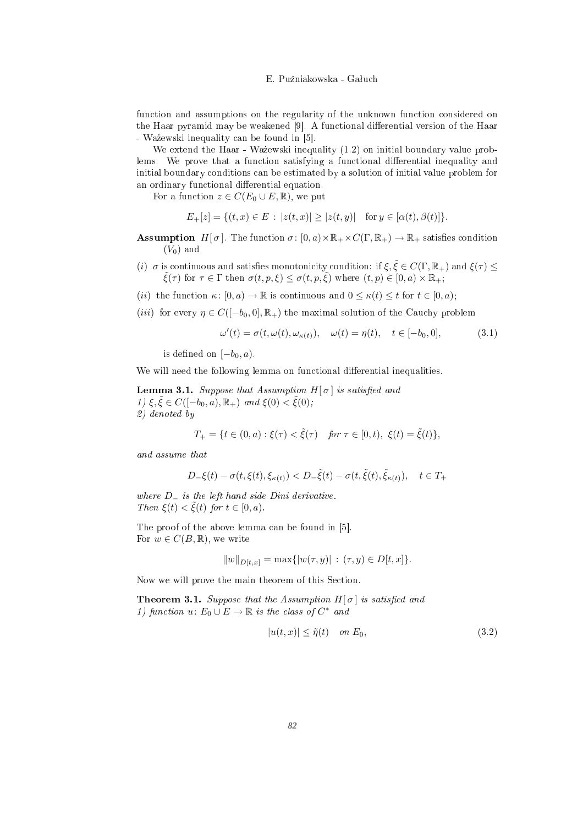fun
tion and assumptions on the regularity of the unknown fun
tion onsidered on the Haar pyramid may be weakened [9]. A functional differential version of the Haar - Ważewski inequality can be found in [5].

We extend the Haar - Waz ewski inequality  $(1.2)$  on initial boundary value problems. We prove that a function satisfying a functional differential inequality and initial boundary onditions an be estimated by a solution of initial value problem for an ordinary functional differential equation.

For a function  $z \in C(E_0 \cup E, \mathbb{R})$ , we put

$$
E_{+}[z] = \{(t, x) \in E : |z(t, x)| \ge |z(t, y)| \text{ for } y \in [\alpha(t), \beta(t)]\}.
$$

**Assumption**  $H[\sigma]$ . The function  $\sigma: [0, a) \times \mathbb{R}_+ \times C(\Gamma, \mathbb{R}_+) \to \mathbb{R}_+$  satisfies condition  $(V_0)$  and

- (i)  $\sigma$  is continuous and satisfies monotonicity condition: if  $\xi, \tilde{\xi} \in C(\Gamma, \mathbb{R}_+)$  and  $\xi(\tau) \leq$  $\hat{\xi}(\tau)$  for  $\tau \in \Gamma$  then  $\sigma(t,p,\xi) \leq \sigma(t,p,\xi)$  where  $(t,p) \in [0,a) \times \mathbb{R}_+$ ;
- (*ii*) the function  $\kappa: [0, a) \to \mathbb{R}$  is continuous and  $0 \leq \kappa(t) \leq t$  for  $t \in [0, a)$ ;
- (*iii*) for every  $\eta \in C([-b_0, 0], \mathbb{R}_+)$  the maximal solution of the Cauchy problem

$$
\omega'(t) = \sigma(t, \omega(t), \omega_{\kappa(t)}), \quad \omega(t) = \eta(t), \quad t \in [-b_0, 0], \tag{3.1}
$$

is defined on  $[-b_0, a)$ .

We will need the following lemma on functional differential inequalities.

**Lemma 3.1.** Suppose that Assumption  $H[\sigma]$  is satisfied and 1)  $\xi, \tilde{\xi} \in C([-b_0, a), \mathbb{R}_+)$  and  $\xi(0) < \tilde{\xi}(0)$ ;<br>2) denoted by  $\overline{\mathcal{M}}$  denote by  $\overline{\mathcal{M}}$ 

$$
T_{+} = \{ t \in (0, a) : \xi(\tau) < \tilde{\xi}(\tau) \quad \text{for } \tau \in [0, t), \ \xi(t) = \tilde{\xi}(t) \},
$$

and assume that

$$
D_{-}\xi(t) - \sigma(t,\xi(t),\xi_{\kappa(t)}) < D_{-}\tilde{\xi}(t) - \sigma(t,\tilde{\xi}(t),\tilde{\xi}_{\kappa(t)}), \quad t \in T_{+}
$$

where  $D_$  is the left hand side Dini derivative. Then  $\xi(t) < \xi(t)$  for  $t \in [0, a)$ .

The proof of the above lemma can be found in [5]. For  $w \in C(B, \mathbb{R})$ , we write

$$
||w||_{D[t,x]} = \max\{|w(\tau,y)| : (\tau,y) \in D[t,x]\}.
$$

Now we will prove the main theorem of this Section.

**Theorem 3.1.** Suppose that the Assumption  $H[\sigma]$  is satisfied and 1) function  $u: E_0 \cup E \to \mathbb{R}$  is the class of  $C^*$  and

$$
|u(t,x)| \leq \tilde{\eta}(t) \quad on \ E_0,\tag{3.2}
$$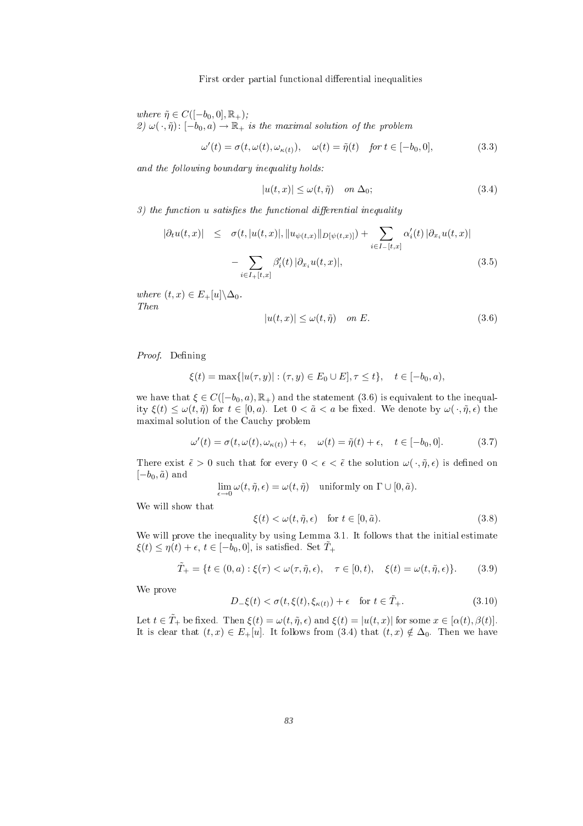where  $\tilde{\eta} \in C([-b_0, 0], \mathbb{R}_+);$ 2)  $\omega(\cdot, \tilde{\eta})$ :  $[-b_0, a) \to \mathbb{R}_+$  is the maximal solution of the problem

$$
\omega'(t) = \sigma(t, \omega(t), \omega_{\kappa(t)}), \quad \omega(t) = \tilde{\eta}(t) \quad \text{for } t \in [-b_0, 0], \tag{3.3}
$$

and the following boundary inequality holds:

$$
|u(t,x)| \le \omega(t,\tilde{\eta}) \quad on \ \Delta_0; \tag{3.4}
$$

 $3)$  the function  $u$  satisfies the functional differential inequality

$$
|\partial_t u(t,x)| \leq \sigma(t, |u(t,x)|, \|u_{\psi(t,x)}\|_{D[\psi(t,x)]}) + \sum_{i \in I_{-}[t,x]} \alpha'_i(t) |\partial_{x_i} u(t,x)|
$$
  
- 
$$
\sum_{i \in I_{+}[t,x]} \beta'_i(t) |\partial_{x_i} u(t,x)|,
$$
 (3.5)

where  $(t, x) \in E_+[u] \backslash \Delta_0$ .<br>Then

$$
|u(t,x)| \le \omega(t,\tilde{\eta}) \quad on \ E. \tag{3.6}
$$

Proof. Defining

$$
\xi(t) = \max\{|u(\tau, y)| : (\tau, y) \in E_0 \cup E], \tau \le t\}, \quad t \in [-b_0, a),
$$

we have that  $\xi \in C([-b_0, a), \mathbb{R}_+)$  and the statement  $(3.6)$  is equivalent to the inequality  $\xi(t) \leq \omega(t, \tilde{\eta})$  for  $t \in [0, a)$ . Let  $0 < \tilde{a} < a$  be fixed. We denote by  $\omega(\cdot, \tilde{\eta}, \epsilon)$  the maximal solution of the Cau
hy problem

$$
\omega'(t) = \sigma(t, \omega(t), \omega_{\kappa(t)}) + \epsilon, \quad \omega(t) = \tilde{\eta}(t) + \epsilon, \quad t \in [-b_0, 0]. \tag{3.7}
$$

There exist  $\tilde{\epsilon} > 0$  such that for every  $0 < \epsilon < \tilde{\epsilon}$  the solution  $\omega(\cdot, \tilde{\eta}, \epsilon)$  is defined on  $[-b_0, \tilde{a})$  and

$$
\lim_{\epsilon \to 0} \omega(t, \tilde{\eta}, \epsilon) = \omega(t, \tilde{\eta}) \quad \text{uniformly on } \Gamma \cup [0, \tilde{a}).
$$

$$
\xi(t) < \omega(t, \tilde{\eta}, \epsilon) \quad \text{for } t \in [0, \tilde{a}).\tag{3.8}
$$

We will prove the inequality by using Lemma 3.1. It follows that the initial estimate  $\xi(t) \leq \eta(t) + \epsilon, t \in [-b_0, 0],$  is satisfied. Set  $T_+$ 

$$
\tilde{T}_{+} = \{ t \in (0, a) : \xi(\tau) < \omega(\tau, \tilde{\eta}, \epsilon), \quad \tau \in [0, t), \quad \xi(t) = \omega(t, \tilde{\eta}, \epsilon) \}. \tag{3.9}
$$

where the contract of the contract of the contract of the contract of the contract of the contract of the contract of the contract of the contract of the contract of the contract of the contract of the contract of the cont

$$
D_{-}\xi(t) < \sigma(t,\xi(t),\xi_{\kappa(t)}) + \epsilon \quad \text{for } t \in \tilde{T}_{+}.\tag{3.10}
$$

Let  $t \in \tilde{T}_+$  be fixed. Then  $\xi(t) = \omega(t, \tilde{\eta}, \epsilon)$  and  $\xi(t) = |u(t,x)|$  for some  $x \in [\alpha(t), \beta(t)].$ It is clear that  $(t, x) \in E_+[u]$ . It follows from  $(3.4)$  that  $(t, x) \notin \Delta_0$ . Then we have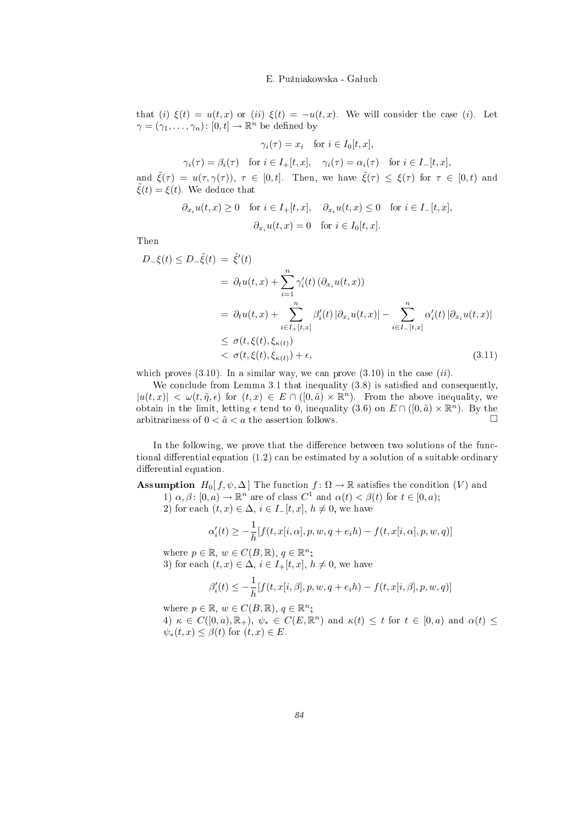that (i)  $\xi(t) = u(t, x)$  or (ii)  $\xi(t) = -u(t, x)$ . We will consider the case (i). Let  $\gamma = (\gamma_1,\ldots,\gamma_n) \colon [0,t] \to \mathbb{R}^n$ be denoted by density of the density of the density of the density of the density of the density of the density

$$
\gamma_i(\tau) = x_i \quad \text{for } i \in I_0[t, x],
$$

$$
\gamma_i(\tau) = \beta_i(\tau) \quad \text{for } i \in I_+[t, x], \quad \gamma_i(\tau) = \alpha_i(\tau) \quad \text{for } i \in I_-[t, x],
$$

and  $\tilde{\xi}(\tau) = u(\tau, \gamma(\tau))$ ,  $\tau \in [0, t]$ . Then, we have  $\tilde{\xi}(\tau) \leq \xi(\tau)$  for  $\tau \in [0, t)$  and  $\tilde{\xi}(t) = \xi(t)$ . We deduce that

$$
\partial_{x_i} u(t, x) \ge 0 \quad \text{for } i \in I_+[t, x], \quad \partial_{x_i} u(t, x) \le 0 \quad \text{for } i \in I_-[t, x],
$$

$$
\partial_{x_i} u(t, x) = 0 \quad \text{for } i \in I_0[t, x].
$$

$$
D_{-}\xi(t) \leq D_{-}\tilde{\xi}(t) = \tilde{\xi}'(t)
$$
  
\n
$$
= \partial_{t}u(t,x) + \sum_{i=1}^{n} \gamma'_{i}(t) (\partial_{x_{i}}u(t,x))
$$
  
\n
$$
= \partial_{t}u(t,x) + \sum_{i \in I_{+}[t,x]}^{n} \beta'_{i}(t) |\partial_{x_{i}}u(t,x)| - \sum_{i \in I_{-}[t,x]}^{n} \alpha'_{i}(t) |\partial_{x_{i}}u(t,x)|
$$
  
\n
$$
\leq \sigma(t,\xi(t),\xi_{\kappa(t)})
$$
  
\n
$$
< \sigma(t,\xi(t),\xi_{\kappa(t)}) + \epsilon,
$$
\n(3.11)

which proves  $(3.10)$ . In a similar way, we can prove  $(3.10)$  in the case  $(ii)$ .

We conclude from Lemma 3.1 that inequality  $(3.8)$  is satisfied and consequently,  $|u(t,x)| < \omega(t,\tilde{\eta},\epsilon)$  for  $(t,x) \in E \cap ([0,\tilde{a}) \times \mathbb{R}^n)$ . From the above inequality, we obtain in the limit, letting  $\epsilon$  tend to 0, inequality (3.6) on  $E \cap ([0, \tilde{a}) \times \mathbb{R}^n)$ . By the  $\binom{n}{k}$ . By the arbitrariness of  $0 < \tilde{a} < a$  the assertion follows.

In the following, we prove that the difference between two solutions of the functional differential equation  $(1.2)$  can be estimated by a solution of a suitable ordinary differential equation.

**Assumption**  $H_0[f, \psi, \Delta]$  The function  $f : \Omega \to \mathbb{R}$  satisfies the condition  $(V)$  and 1)  $\alpha, \beta \colon [0, a) \to \mathbb{R}^n$  are of class  $C^1$  and  $\alpha(t) < \beta(t)$  for  $t \in [0, a)$ ;

2) for each  $(t, x) \in \Delta$ ,  $i \in I-[t, x]$ ,  $h \neq 0$ , we have

$$
\alpha'_i(t) \ge -\frac{1}{h}[f(t, x[i, \alpha], p, w, q + e_i h) - f(t, x[i, \alpha], p, w, q)]
$$

where  $p \in \mathbb{R}, w \in C(B, \mathbb{R}), q \in \mathbb{R}^n$ ;  $\mathbf{r}$  ; and  $\mathbf{r}$  is the contract of the contract of the contract of the contract of the contract of the contract of the contract of the contract of the contract of the contract of the contract of the contract of th

3) for each  $(t, x) \in \Delta$ ,  $i \in I_+[t, x]$ ,  $h \neq 0$ , we have

$$
\beta_i'(t) \le -\frac{1}{h} [f(t, x[i, \beta], p, w, q + e_i h) - f(t, x[i, \beta], p, w, q)]
$$

where  $p \in \mathbb{R}, w \in C(B, \mathbb{R}), q \in \mathbb{R}^n$ ;  $\mathcal{L}_{\mathcal{A}}$  , and the contract of the contract of the contract of the contract of the contract of the contract of the contract of the contract of the contract of the contract of the contract of the contract of the cont

4)  $\kappa \in C([0,a),\mathbb{R}_+)$ ,  $\psi_* \in C(E,\mathbb{R}^n)$  and  $\kappa(t) \leq t$  for  $t \in [0,a)$  and  $\alpha(t) \leq$  $\psi_*(t,x) \leq \beta(t)$  for  $(t,x) \in E$ .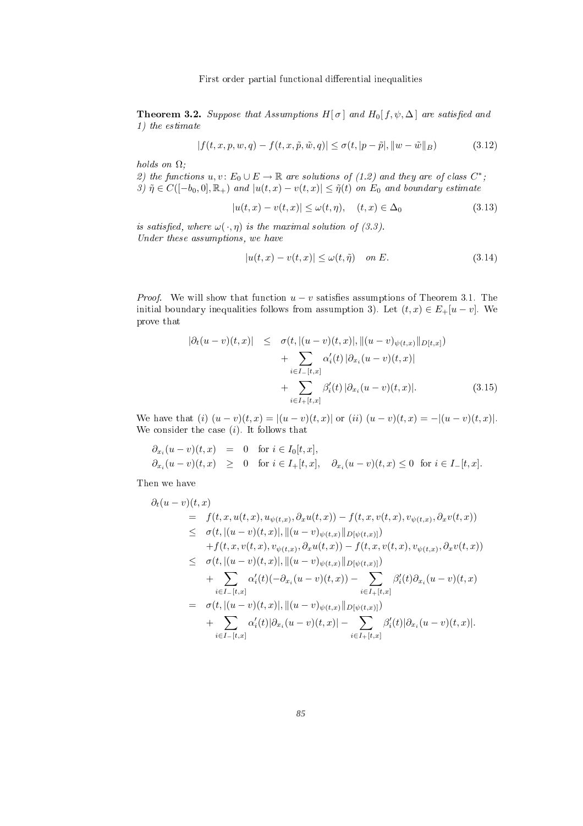**Theorem 3.2.** Suppose that Assumptions H[ $\sigma$ ] and H<sub>0</sub>[f,  $\psi$ ,  $\Delta$ ] are satisfied and 1) the estimate

$$
|f(t, x, p, w, q) - f(t, x, \tilde{p}, \tilde{w}, q)| \le \sigma(t, |p - \tilde{p}|, ||w - \tilde{w}||_{B})
$$
\n(3.12)

holds on  $\Omega$ ;

2) the functions  $u, v \colon E_0 \cup E \to \mathbb{R}$  are solutions of  $(1.2)$  and they are of class  $C^*$ ;  $\mathbf{r}$  ; and  $\mathbf{r}$  is the set of the set of the set of the set of the set of the set of the set of the set of the set of the set of the set of the set of the set of the set of the set of the set of the set of the set 3)  $\tilde{\eta} \in C([-b_0, 0], \mathbb{R}_+)$  and  $|u(t, x) - v(t, x)| \leq \tilde{\eta}(t)$  on  $E_0$  and boundary estimate

$$
|u(t,x) - v(t,x)| \le \omega(t,\eta), \quad (t,x) \in \Delta_0 \tag{3.13}
$$

is satisfied, where  $\omega(\cdot, \eta)$  is the maximal solution of (3.3). Under these assumptions, we have

$$
|u(t,x) - v(t,x)| \le \omega(t,\tilde{\eta}) \quad \text{on } E. \tag{3.14}
$$

*Proof.* We will show that function  $u - v$  satisfies assumptions of Theorem 3.1. The initial boundary inequalities follows from assumption 3). Let  $(t, x) \in E_+[u-v]$ . We prove the contract of the contract of the contract of the contract of the contract of the contract of the contract of the contract of the contract of the contract of the contract of the contract of the contract of the cont

$$
|\partial_t(u-v)(t,x)| \leq \sigma(t, |(u-v)(t,x)|, \|(u-v)_{\psi(t,x)}\|_{D[t,x]})
$$
  
+ 
$$
\sum_{i \in I-[t,x]} \alpha'_i(t) |\partial_{x_i}(u-v)(t,x)|
$$
  
+ 
$$
\sum_{i \in I+[t,x]} \beta'_i(t) |\partial_{x_i}(u-v)(t,x)|.
$$
(3.15)

We have that  $(i)$   $(u - v)(t, x) = |(u - v)(t, x)|$  or  $(ii)$   $(u - v)(t, x) = -|(u - v)(t, x)|$ . We consider the case  $(i)$ . It follows that

$$
\begin{array}{rcl}\n\partial_{x_i}(u-v)(t,x) & = & 0 \quad \text{for } i \in I_0[t,x], \\
\partial_{x_i}(u-v)(t,x) & \geq & 0 \quad \text{for } i \in I_+[t,x], \quad \partial_{x_i}(u-v)(t,x) \leq 0 \quad \text{for } i \in I_-[t,x].\n\end{array}
$$

$$
\partial_t (u-v)(t, x) = f(t, x, u(t, x), u_{\psi(t, x)}, \partial_x u(t, x)) - f(t, x, v(t, x), v_{\psi(t, x)}, \partial_x v(t, x))
$$
\n
$$
\leq \sigma(t, |(u-v)(t, x)|, ||(u-v)_{\psi(t, x)}||_{D[\psi(t, x)]})
$$
\n
$$
+ f(t, x, v(t, x), v_{\psi(t, x)}, \partial_x u(t, x)) - f(t, x, v(t, x), v_{\psi(t, x)}, \partial_x v(t, x))
$$
\n
$$
\leq \sigma(t, |(u-v)(t, x)|, ||(u-v)_{\psi(t, x)}||_{D[\psi(t, x)]})
$$
\n
$$
+ \sum_{i \in I_{-}[t, x]} \alpha'_i(t)(-\partial_{x_i}(u-v)(t, x)) - \sum_{i \in I_{+}[t, x]} \beta'_i(t)\partial_{x_i}(u-v)(t, x)
$$
\n
$$
+ \sum_{i \in I_{-}[t, x]} \alpha'_i(t)|\partial_{x_i}(u-v)(t, x)| - \sum_{i \in I_{+}[t, x]} \beta'_i(t)|\partial_{x_i}(u-v)(t, x)|.
$$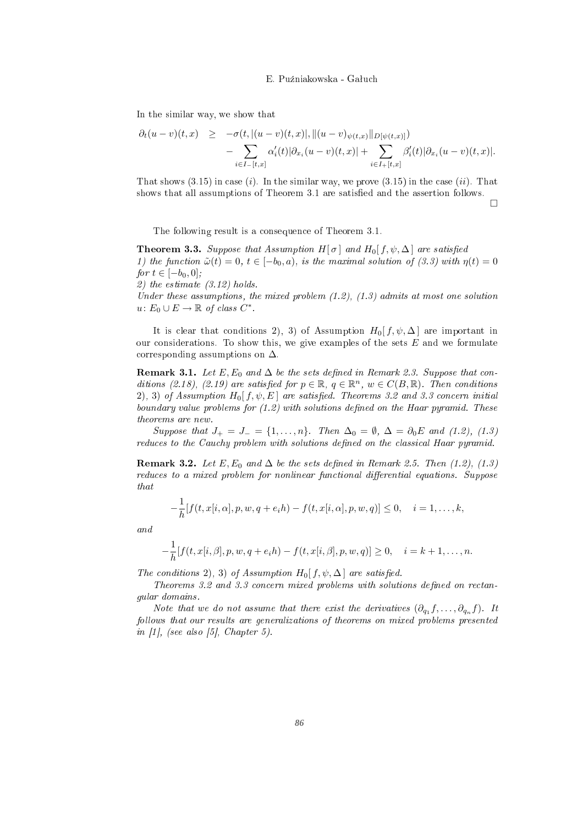In the similar way, we show that

$$
\partial_t (u-v)(t,x) \geq -\sigma(t, |(u-v)(t,x)|, ||(u-v)_{\psi(t,x)}||_{D[\psi(t,x)]}) - \sum_{i \in I_{-}[t,x]} \alpha'_i(t) |\partial_{x_i}(u-v)(t,x)| + \sum_{i \in I_{+}[t,x]} \beta'_i(t) |\partial_{x_i}(u-v)(t,x)|.
$$

That shows  $(3.15)$  in case  $(i)$ . In the similar way, we prove  $(3.15)$  in the case  $(ii)$ . That shows that all assumptions of Theorem 3.1 are satisfied and the assertion follows.

 $\Box$ 

The following result is a onsequen
e of Theorem 3.1.

**Theorem 3.3.** Suppose that Assumption H[ $\sigma$ ] and H<sub>0</sub>[ $f, \psi, \Delta$ ] are satisfied 1) the function  $\tilde{\omega}(t) = 0, t \in [-b_0, a),$  is the maximal solution of (3.3) with  $\eta(t) = 0$ for  $t \in [-b_0, 0]$ ;

2) the estimate  $(3.12)$  holds.

Under these assumptions, the mixed problem  $(1.2)$ ,  $(1.3)$  admits at most one solution  $u\colon E_0\cup E\to\mathbb{R}$  of class  $C^*$ .

It is clear that conditions 2), 3) of Assumption  $H_0[f, \psi, \Delta]$  are important in our considerations. To show this, we give examples of the sets  $E$  and we formulate corresponding assumptions on  $\Delta$ .

**Remark 3.1.** Let E, E<sub>0</sub> and  $\Delta$  be the sets defined in Remark 2.3. Suppose that conditions (2.18), (2.19) are satisfied for  $p \in \mathbb{R}$ ,  $q \in \mathbb{R}^n$ ,  $w \in C(B, \mathbb{R})$ . Then conditions 2), 3) of Assumption  $H_0[f, \psi, E]$  are satisfied. Theorems 3.2 and 3.3 concern initial boundary value problems for  $(1.2)$  with solutions defined on the Haar pyramid. These theorems are new.

Suppose that  $J_+ = J_- = \{1, \ldots, n\}$ . Then  $\Delta_0 = \emptyset$ ,  $\Delta = \partial_0 E$  and  $(1.2)$ ,  $(1.3)$ reduces to the Cauchy problem with solutions defined on the classical Haar pyramid.

Remark 3.2. Let E, E<sub>0</sub> and  $\Delta$  be the sets defined in Remark 2.5. Then (1.2), (1.3) reduces to a mixed problem for nonlinear functional differential equations. Suppose

$$
-\frac{1}{h}[f(t, x[i, \alpha], p, w, q + e_i h) - f(t, x[i, \alpha], p, w, q)] \leq 0, \quad i = 1, \dots, k,
$$

$$
-\frac{1}{h}[f(t, x[i, \beta], p, w, q + e_i h) - f(t, x[i, \beta], p, w, q)] \ge 0, \quad i = k + 1, ..., n.
$$

The conditions 2), 3) of Assumption  $H_0[f, \psi, \Delta]$  are satisfied.

Theorems 3.2 and 3.3 concern mixed problems with solutions defined on rectangular domains.

Note that we do not assume that there exist the derivatives  $(\partial_{q_1} f, \ldots, \partial_{q_n} f)$ . It f). It follows that our results are generalizations of theorems on mixed problems presented in  $\vert 1 \vert$ , (see also  $\vert 5 \vert$ , Chapter 5).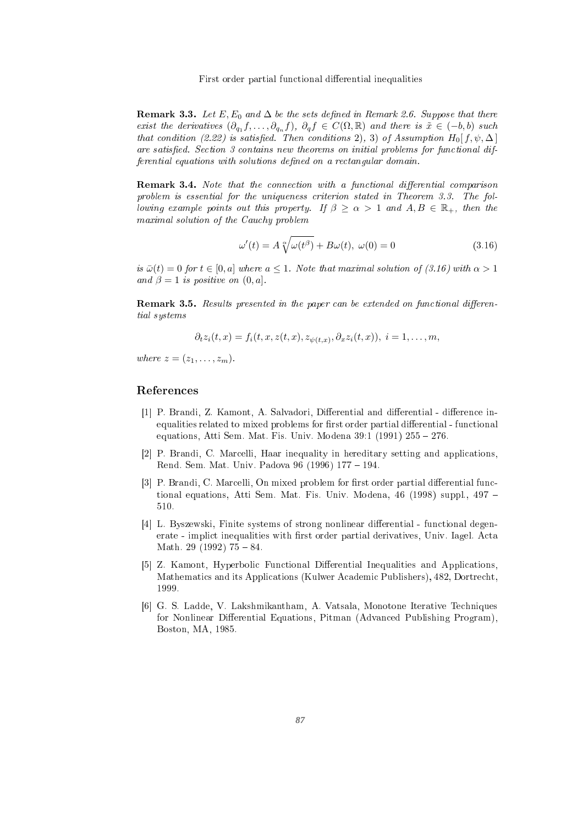**Remark 3.3.** Let E,  $E_0$  and  $\Delta$  be the sets defined in Remark 2.6. Suppose that there exist the derivatives  $(\partial_{q_1} f, \ldots, \partial_{q_n} f), \partial_q f \in C(\Omega, \mathbb{R})$  and there is  $\tilde{x} \in (-b, b)$  such that condition (2.22) is satisfied. Then conditions 2), 3) of Assumption  $H_0[f, \psi, \Delta]$ are satisfied. Section 3 contains new theorems on initial problems for functional differential equations with solutions defined on a rectangular domain.

**Remark 3.4.** Note that the connection with a functional differential comparison problem is essential for the uniqueness criterion stated in Theorem 3.3. The following example points out this property. If  $\beta \geq \alpha > 1$  and  $A, B \in \mathbb{R}_+$ , then the maximal solution of the Cau
hy problem

$$
\omega'(t) = A \sqrt[\alpha]{\omega(t^{\beta})} + B\omega(t), \ \omega(0) = 0 \tag{3.16}
$$

is  $\bar{\omega}(t) = 0$  for  $t \in [0, a]$  where  $a \leq 1$ . Note that maximal solution of (3.16) with  $\alpha > 1$ and  $\beta = 1$  is positive on  $(0, a]$ .

**Remark 3.5.** Results presented in the paper can be extended on functional differential systems

$$
\partial_t z_i(t,x) = f_i(t,x,z(t,x),z_{\psi(t,x)},\partial_x z_i(t,x)), \ i=1,\ldots,m,
$$

where  $z = (z_1, \ldots, z_m)$ .

- [1] P. Brandi, Z. Kamont, A. Salvadori, Differential and differential difference inequalities related to mixed problems for first order partial differential - functional equations, Atti Sem. Mat. Fis. Univ. Modena  $39:1$  (1991)  $255 - 276$ .
- [2] P. Brandi, C. Marcelli, Haar inequality in hereditary setting and applications, Rend. Sem. Mat. Univ. Padova 96 (1996) 177 - 194.
- [3] P. Brandi, C. Marcelli, On mixed problem for first order partial differential functional equations, Atti Sem. Mat. Fis. Univ. Modena, 46 (1998) suppl., 497
- [4] L. Byszewski, Finite systems of strong nonlinear differential functional degenerate - implict inequalities with first order partial derivatives, Univ. Iagel. Acta Math. 29 (1992)  $75 - 84$ .
- [5] Z. Kamont, Hyperbolic Functional Differential Inequalities and Applications, Mathemati
s and its Appli
ations (Kulwer A
ademi Publishers), 482, Dortre
ht,
- [6] G. S. Ladde, V. Lakshmikantham, A. Vatsala, Monotone Iterative Techniques for Nonlinear Differential Equations, Pitman (Advanced Publishing Program), Boston, MA, 1985.